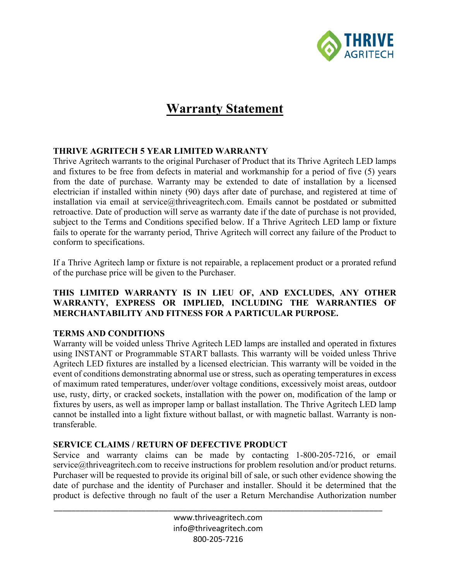

# **Warranty Statement**

#### **THRIVE AGRITECH 5 YEAR LIMITED WARRANTY**

Thrive Agritech warrants to the original Purchaser of Product that its Thrive Agritech LED lamps and fixtures to be free from defects in material and workmanship for a period of five (5) years from the date of purchase. Warranty may be extended to date of installation by a licensed electrician if installed within ninety (90) days after date of purchase, and registered at time of installation via email at service@thriveagritech.com. Emails cannot be postdated or submitted retroactive. Date of production will serve as warranty date if the date of purchase is not provided, subject to the Terms and Conditions specified below. If a Thrive Agritech LED lamp or fixture fails to operate for the warranty period, Thrive Agritech will correct any failure of the Product to conform to specifications.

If a Thrive Agritech lamp or fixture is not repairable, a replacement product or a prorated refund of the purchase price will be given to the Purchaser.

#### **THIS LIMITED WARRANTY IS IN LIEU OF, AND EXCLUDES, ANY OTHER WARRANTY, EXPRESS OR IMPLIED, INCLUDING THE WARRANTIES OF MERCHANTABILITY AND FITNESS FOR A PARTICULAR PURPOSE.**

### **TERMS AND CONDITIONS**

Warranty will be voided unless Thrive Agritech LED lamps are installed and operated in fixtures using INSTANT or Programmable START ballasts. This warranty will be voided unless Thrive Agritech LED fixtures are installed by a licensed electrician. This warranty will be voided in the event of conditions demonstrating abnormal use or stress, such as operating temperatures in excess of maximum rated temperatures, under/over voltage conditions, excessively moist areas, outdoor use, rusty, dirty, or cracked sockets, installation with the power on, modification of the lamp or fixtures by users, as well as improper lamp or ballast installation. The Thrive Agritech LED lamp cannot be installed into a light fixture without ballast, or with magnetic ballast. Warranty is nontransferable.

#### **SERVICE CLAIMS / RETURN OF DEFECTIVE PRODUCT**

Service and warranty claims can be made by contacting 1-800-205-7216, or email service@thriveagritech.com to receive instructions for problem resolution and/or product returns. Purchaser will be requested to provide its original bill of sale, or such other evidence showing the date of purchase and the identity of Purchaser and installer. Should it be determined that the product is defective through no fault of the user a Return Merchandise Authorization number

> www.thriveagritech.com info@thriveagritech.com 800-205-7216

\_\_\_\_\_\_\_\_\_\_\_\_\_\_\_\_\_\_\_\_\_\_\_\_\_\_\_\_\_\_\_\_\_\_\_\_\_\_\_\_\_\_\_\_\_\_\_\_\_\_\_\_\_\_\_\_\_\_\_\_\_\_\_\_\_\_\_\_\_\_\_\_\_\_\_